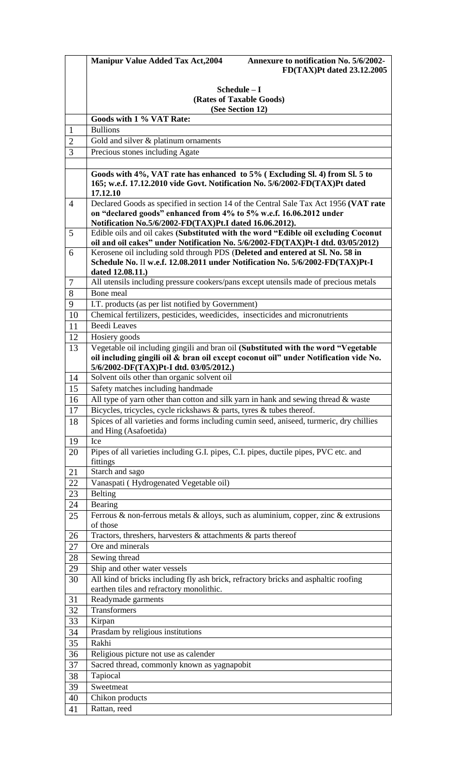|                | <b>Manipur Value Added Tax Act, 2004</b><br>Annexure to notification No. 5/6/2002-<br>FD(TAX)Pt dated 23.12.2005                                                                                                      |  |  |
|----------------|-----------------------------------------------------------------------------------------------------------------------------------------------------------------------------------------------------------------------|--|--|
|                |                                                                                                                                                                                                                       |  |  |
|                | Schedule - I                                                                                                                                                                                                          |  |  |
|                | (Rates of Taxable Goods)<br>(See Section 12)                                                                                                                                                                          |  |  |
|                | Goods with 1 % VAT Rate:                                                                                                                                                                                              |  |  |
| $\mathbf{1}$   | <b>Bullions</b>                                                                                                                                                                                                       |  |  |
| $\overline{2}$ | Gold and silver & platinum ornaments                                                                                                                                                                                  |  |  |
| 3              | Precious stones including Agate                                                                                                                                                                                       |  |  |
|                |                                                                                                                                                                                                                       |  |  |
|                | Goods with 4%, VAT rate has enhanced to 5% (Excluding Sl. 4) from Sl. 5 to<br>165; w.e.f. 17.12.2010 vide Govt. Notification No. 5/6/2002-FD(TAX)Pt dated<br>17.12.10                                                 |  |  |
| $\overline{4}$ | Declared Goods as specified in section 14 of the Central Sale Tax Act 1956 (VAT rate<br>on "declared goods" enhanced from 4% to 5% w.e.f. 16.06.2012 under<br>Notification No.5/6/2002-FD(TAX)Pt.I dated 16.06.2012). |  |  |
| 5              | Edible oils and oil cakes (Substituted with the word "Edible oil excluding Coconut                                                                                                                                    |  |  |
|                | oil and oil cakes" under Notification No. 5/6/2002-FD(TAX)Pt-I dtd. 03/05/2012)                                                                                                                                       |  |  |
| 6              | Kerosene oil including sold through PDS (Deleted and entered at Sl. No. 58 in                                                                                                                                         |  |  |
|                | Schedule No. II w.e.f. 12.08.2011 under Notification No. 5/6/2002-FD(TAX)Pt-I<br>dated 12.08.11.)                                                                                                                     |  |  |
| 7              | All utensils including pressure cookers/pans except utensils made of precious metals                                                                                                                                  |  |  |
| 8              | Bone meal                                                                                                                                                                                                             |  |  |
| 9              | I.T. products (as per list notified by Government)                                                                                                                                                                    |  |  |
| 10             | Chemical fertilizers, pesticides, weedicides, insecticides and micronutrients                                                                                                                                         |  |  |
| 11             | <b>Beedi</b> Leaves                                                                                                                                                                                                   |  |  |
| 12             | Hosiery goods                                                                                                                                                                                                         |  |  |
| 13             | Vegetable oil including gingili and bran oil (Substituted with the word "Vegetable<br>oil including gingili oil & bran oil except coconut oil" under Notification vide No.                                            |  |  |
|                | 5/6/2002-DF(TAX)Pt-I dtd. 03/05/2012.)                                                                                                                                                                                |  |  |
| 14             | Solvent oils other than organic solvent oil                                                                                                                                                                           |  |  |
| 15             | Safety matches including handmade                                                                                                                                                                                     |  |  |
| 16             | All type of yarn other than cotton and silk yarn in hank and sewing thread & waste                                                                                                                                    |  |  |
| 17             | Bicycles, tricycles, cycle rickshaws & parts, tyres & tubes thereof.                                                                                                                                                  |  |  |
| 18             | Spices of all varieties and forms including cumin seed, aniseed, turmeric, dry chillies<br>and Hing (Asafoetida)                                                                                                      |  |  |
| 19             | Ice                                                                                                                                                                                                                   |  |  |
| 20             | Pipes of all varieties including G.I. pipes, C.I. pipes, ductile pipes, PVC etc. and<br>fittings                                                                                                                      |  |  |
| 21<br>22       | Starch and sago<br>Vanaspati (Hydrogenated Vegetable oil)                                                                                                                                                             |  |  |
| 23             | <b>Belting</b>                                                                                                                                                                                                        |  |  |
| 24             | Bearing                                                                                                                                                                                                               |  |  |
| 25             | Ferrous & non-ferrous metals & alloys, such as aluminium, copper, zinc & extrusions                                                                                                                                   |  |  |
|                | of those                                                                                                                                                                                                              |  |  |
| 26             | Tractors, threshers, harvesters $\&$ attachments $\&$ parts thereof<br>Ore and minerals                                                                                                                               |  |  |
| 27<br>28       | Sewing thread                                                                                                                                                                                                         |  |  |
| 29             | Ship and other water vessels                                                                                                                                                                                          |  |  |
| 30             | All kind of bricks including fly ash brick, refractory bricks and asphaltic roofing                                                                                                                                   |  |  |
|                | earthen tiles and refractory monolithic.                                                                                                                                                                              |  |  |
| 31             | Readymade garments                                                                                                                                                                                                    |  |  |
| 32             | Transformers                                                                                                                                                                                                          |  |  |
| 33             | Kirpan                                                                                                                                                                                                                |  |  |
| 34             | Prasdam by religious institutions<br>Rakhi                                                                                                                                                                            |  |  |
| 35<br>36       | Religious picture not use as calender                                                                                                                                                                                 |  |  |
| 37             | Sacred thread, commonly known as yagnapobit                                                                                                                                                                           |  |  |
| 38             | Tapiocal                                                                                                                                                                                                              |  |  |
| 39             | Sweetmeat                                                                                                                                                                                                             |  |  |
| 40             | Chikon products                                                                                                                                                                                                       |  |  |
| 41             | Rattan, reed                                                                                                                                                                                                          |  |  |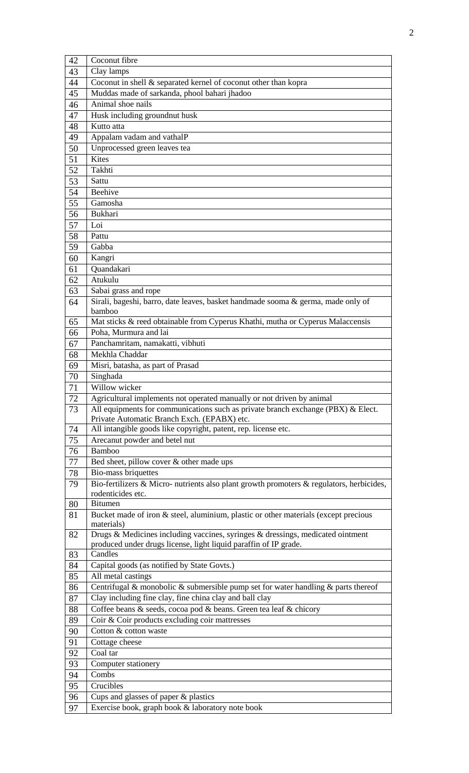| 42       | Coconut fibre                                                                                                                                             |
|----------|-----------------------------------------------------------------------------------------------------------------------------------------------------------|
| 43       | Clay lamps                                                                                                                                                |
| 44       | Coconut in shell & separated kernel of coconut other than kopra                                                                                           |
| 45       | Muddas made of sarkanda, phool bahari jhadoo                                                                                                              |
| 46       | Animal shoe nails                                                                                                                                         |
| 47       | Husk including groundnut husk                                                                                                                             |
| 48       | Kutto atta                                                                                                                                                |
| 49       | Appalam vadam and vathalP                                                                                                                                 |
| 50       | Unprocessed green leaves tea                                                                                                                              |
| 51       | <b>Kites</b>                                                                                                                                              |
| 52       | Takhti                                                                                                                                                    |
| 53       | Sattu                                                                                                                                                     |
| 54       | <b>Beehive</b>                                                                                                                                            |
| 55       | Gamosha                                                                                                                                                   |
| 56       | Bukhari                                                                                                                                                   |
| 57       | Loi                                                                                                                                                       |
| 58       | Pattu                                                                                                                                                     |
| 59       | Gabba                                                                                                                                                     |
| 60       | Kangri                                                                                                                                                    |
| 61       | Quandakari                                                                                                                                                |
| 62       | Atukulu                                                                                                                                                   |
| 63       | Sabai grass and rope                                                                                                                                      |
| 64       | Sirali, bageshi, barro, date leaves, basket handmade sooma & germa, made only of                                                                          |
|          | bamboo                                                                                                                                                    |
| 65       | Mat sticks & reed obtainable from Cyperus Khathi, mutha or Cyperus Malaccensis                                                                            |
| 66       | Poha, Murmura and lai                                                                                                                                     |
| 67       | Panchamritam, namakatti, vibhuti                                                                                                                          |
| 68       | Mekhla Chaddar                                                                                                                                            |
| 69       | Misri, batasha, as part of Prasad                                                                                                                         |
| 70       | Singhada                                                                                                                                                  |
| 71       | Willow wicker                                                                                                                                             |
| 72<br>73 | Agricultural implements not operated manually or not driven by animal<br>All equipments for communications such as private branch exchange (PBX) & Elect. |
|          | Private Automatic Branch Exch. (EPABX) etc.                                                                                                               |
| 74       | All intangible goods like copyright, patent, rep. license etc.                                                                                            |
| 75       | Arecanut powder and betel nut                                                                                                                             |
| 76       | <b>Bamboo</b>                                                                                                                                             |
| 77       | Bed sheet, pillow cover & other made ups                                                                                                                  |
| 78       | Bio-mass briquettes                                                                                                                                       |
| 79       | Bio-fertilizers & Micro- nutrients also plant growth promoters & regulators, herbicides,                                                                  |
|          | rodenticides etc.                                                                                                                                         |
| 80       | <b>Bitumen</b>                                                                                                                                            |
| 81       | Bucket made of iron & steel, aluminium, plastic or other materials (except precious                                                                       |
|          | materials)<br>Drugs & Medicines including vaccines, syringes & dressings, medicated ointment                                                              |
| 82       | produced under drugs license, light liquid paraffin of IP grade.                                                                                          |
| 83       | Candles                                                                                                                                                   |
| 84       | Capital goods (as notified by State Govts.)                                                                                                               |
| 85       | All metal castings                                                                                                                                        |
| 86       | Centrifugal & monobolic & submersible pump set for water handling $\&$ parts thereof                                                                      |
| 87       | Clay including fine clay, fine china clay and ball clay                                                                                                   |
| 88       | Coffee beans & seeds, cocoa pod & beans. Green tea leaf & chicory                                                                                         |
| 89       | Coir & Coir products excluding coir mattresses                                                                                                            |
| 90       | Cotton & cotton waste                                                                                                                                     |
| 91       | Cottage cheese                                                                                                                                            |
| 92       | Coal tar                                                                                                                                                  |
| 93       | Computer stationery                                                                                                                                       |
| 94       | Combs                                                                                                                                                     |
| 95       | Crucibles                                                                                                                                                 |
| 96       | Cups and glasses of paper & plastics                                                                                                                      |
| 97       | Exercise book, graph book & laboratory note book                                                                                                          |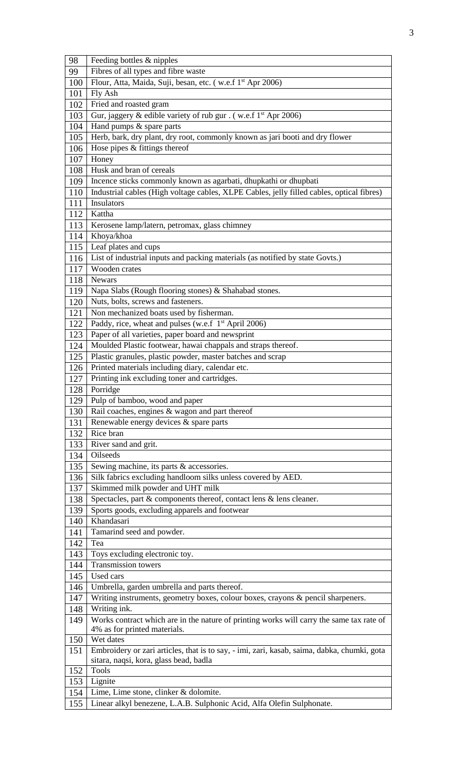| 98  | Feeding bottles & nipples                                                                       |  |  |
|-----|-------------------------------------------------------------------------------------------------|--|--|
| 99  | Fibres of all types and fibre waste                                                             |  |  |
| 100 | Flour, Atta, Maida, Suji, besan, etc. (w.e.f 1 <sup>st</sup> Apr 2006)                          |  |  |
| 101 | Fly Ash                                                                                         |  |  |
| 102 | Fried and roasted gram                                                                          |  |  |
| 103 | Gur, jaggery & edible variety of rub gur . (w.e.f 1 <sup>st</sup> Apr 2006)                     |  |  |
| 104 | Hand pumps & spare parts                                                                        |  |  |
| 105 | Herb, bark, dry plant, dry root, commonly known as jari booti and dry flower                    |  |  |
| 106 | Hose pipes & fittings thereof                                                                   |  |  |
| 107 | Honey                                                                                           |  |  |
| 108 | Husk and bran of cereals                                                                        |  |  |
| 109 | Incence sticks commonly known as agarbati, dhupkathi or dhupbati                                |  |  |
| 110 | Industrial cables (High voltage cables, XLPE Cables, jelly filled cables, optical fibres)       |  |  |
| 111 |                                                                                                 |  |  |
| 112 | Insulators                                                                                      |  |  |
|     | Kattha                                                                                          |  |  |
| 113 | Kerosene lamp/latern, petromax, glass chimney                                                   |  |  |
| 114 | Khoya/khoa                                                                                      |  |  |
| 115 | Leaf plates and cups                                                                            |  |  |
| 116 | List of industrial inputs and packing materials (as notified by state Govts.)                   |  |  |
| 117 | Wooden crates                                                                                   |  |  |
| 118 | <b>Newars</b>                                                                                   |  |  |
| 119 | Napa Slabs (Rough flooring stones) & Shahabad stones.                                           |  |  |
| 120 | Nuts, bolts, screws and fasteners.                                                              |  |  |
| 121 | Non mechanized boats used by fisherman.                                                         |  |  |
| 122 | Paddy, rice, wheat and pulses (w.e.f 1 <sup>st</sup> April 2006)                                |  |  |
| 123 | Paper of all varieties, paper board and newsprint                                               |  |  |
| 124 | Moulded Plastic footwear, hawai chappals and straps thereof.                                    |  |  |
| 125 | Plastic granules, plastic powder, master batches and scrap                                      |  |  |
| 126 | Printed materials including diary, calendar etc.                                                |  |  |
| 127 | Printing ink excluding toner and cartridges.                                                    |  |  |
| 128 | Porridge                                                                                        |  |  |
|     | 129 Pulp of bamboo, wood and paper                                                              |  |  |
| 130 | Rail coaches, engines & wagon and part thereof                                                  |  |  |
| 131 | Renewable energy devices & spare parts                                                          |  |  |
| 132 | Rice bran                                                                                       |  |  |
| 133 | River sand and grit.                                                                            |  |  |
| 134 | Oilseeds                                                                                        |  |  |
| 135 | Sewing machine, its parts & accessories.                                                        |  |  |
| 136 | Silk fabrics excluding handloom silks unless covered by AED.                                    |  |  |
| 137 | Skimmed milk powder and UHT milk                                                                |  |  |
| 138 | Spectacles, part & components thereof, contact lens & lens cleaner.                             |  |  |
| 139 | Sports goods, excluding apparels and footwear                                                   |  |  |
| 140 | Khandasari                                                                                      |  |  |
| 141 | Tamarind seed and powder.                                                                       |  |  |
| 142 | Tea                                                                                             |  |  |
| 143 | Toys excluding electronic toy.                                                                  |  |  |
| 144 | <b>Transmission towers</b>                                                                      |  |  |
| 145 | Used cars                                                                                       |  |  |
|     | Umbrella, garden umbrella and parts thereof.                                                    |  |  |
| 146 |                                                                                                 |  |  |
| 147 | Writing instruments, geometry boxes, colour boxes, crayons & pencil sharpeners.<br>Writing ink. |  |  |
| 148 |                                                                                                 |  |  |
| 149 | Works contract which are in the nature of printing works will carry the same tax rate of        |  |  |
| 150 | 4% as for printed materials.<br>Wet dates                                                       |  |  |
| 151 | Embroidery or zari articles, that is to say, - imi, zari, kasab, saima, dabka, chumki, gota     |  |  |
|     | sitara, naqsi, kora, glass bead, badla                                                          |  |  |
| 152 | <b>Tools</b>                                                                                    |  |  |
| 153 | Lignite                                                                                         |  |  |
| 154 | Lime, Lime stone, clinker & dolomite.                                                           |  |  |
| 155 | Linear alkyl benezene, L.A.B. Sulphonic Acid, Alfa Olefin Sulphonate.                           |  |  |
|     |                                                                                                 |  |  |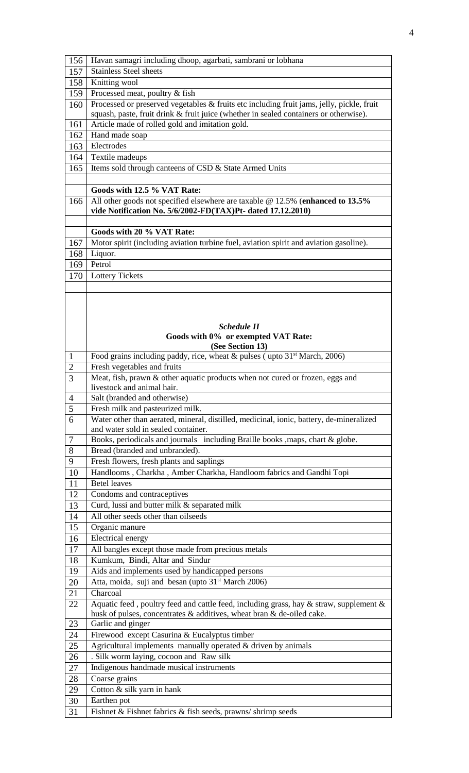| 156            | Havan samagri including dhoop, agarbati, sambrani or lobhana                                                                                                                       |  |  |
|----------------|------------------------------------------------------------------------------------------------------------------------------------------------------------------------------------|--|--|
| 157            | <b>Stainless Steel sheets</b>                                                                                                                                                      |  |  |
| 158            |                                                                                                                                                                                    |  |  |
|                | Knitting wool                                                                                                                                                                      |  |  |
| 159            | Processed meat, poultry & fish                                                                                                                                                     |  |  |
| 160            | Processed or preserved vegetables & fruits etc including fruit jams, jelly, pickle, fruit<br>squash, paste, fruit drink & fruit juice (whether in sealed containers or otherwise). |  |  |
| 161            | Article made of rolled gold and imitation gold.                                                                                                                                    |  |  |
| 162            |                                                                                                                                                                                    |  |  |
| 163            | Hand made soap<br>Electrodes                                                                                                                                                       |  |  |
| 164            | Textile madeups                                                                                                                                                                    |  |  |
|                | Items sold through canteens of CSD & State Armed Units                                                                                                                             |  |  |
| 165            |                                                                                                                                                                                    |  |  |
|                |                                                                                                                                                                                    |  |  |
| 166            | Goods with 12.5 % VAT Rate:                                                                                                                                                        |  |  |
|                | All other goods not specified elsewhere are taxable $@ 12.5\%$ (enhanced to 13.5%<br>vide Notification No. 5/6/2002-FD(TAX)Pt- dated 17.12.2010)                                   |  |  |
|                |                                                                                                                                                                                    |  |  |
|                | Goods with 20 % VAT Rate:                                                                                                                                                          |  |  |
| 167            | Motor spirit (including aviation turbine fuel, aviation spirit and aviation gasoline).                                                                                             |  |  |
| 168            | Liquor.                                                                                                                                                                            |  |  |
| 169            | Petrol                                                                                                                                                                             |  |  |
| 170            | <b>Lottery Tickets</b>                                                                                                                                                             |  |  |
|                |                                                                                                                                                                                    |  |  |
|                |                                                                                                                                                                                    |  |  |
|                |                                                                                                                                                                                    |  |  |
|                |                                                                                                                                                                                    |  |  |
|                | <b>Schedule II</b>                                                                                                                                                                 |  |  |
|                | Goods with 0% or exempted VAT Rate:                                                                                                                                                |  |  |
|                | (See Section 13)                                                                                                                                                                   |  |  |
| $\mathbf{1}$   | Food grains including paddy, rice, wheat $\&$ pulses (upto 31 <sup>st</sup> March, 2006)                                                                                           |  |  |
| $\overline{2}$ | Fresh vegetables and fruits                                                                                                                                                        |  |  |
| 3              | Meat, fish, prawn & other aquatic products when not cured or frozen, eggs and                                                                                                      |  |  |
|                | livestock and animal hair.                                                                                                                                                         |  |  |
| 4              | Salt (branded and otherwise)                                                                                                                                                       |  |  |
| $\overline{5}$ | Fresh milk and pasteurized milk.                                                                                                                                                   |  |  |
| 6              | Water other than aerated, mineral, distilled, medicinal, ionic, battery, de-mineralized<br>and water sold in sealed container.                                                     |  |  |
| 7              | Books, periodicals and journals including Braille books , maps, chart & globe.                                                                                                     |  |  |
| 8              | Bread (branded and unbranded).                                                                                                                                                     |  |  |
| 9              | Fresh flowers, fresh plants and saplings                                                                                                                                           |  |  |
| 10             | Handlooms, Charkha, Amber Charkha, Handloom fabrics and Gandhi Topi                                                                                                                |  |  |
| 11             | <b>Betel leaves</b>                                                                                                                                                                |  |  |
| 12             | Condoms and contraceptives                                                                                                                                                         |  |  |
| 13             | Curd, lussi and butter milk & separated milk                                                                                                                                       |  |  |
| 14             | All other seeds other than oilseeds                                                                                                                                                |  |  |
| 15             | Organic manure                                                                                                                                                                     |  |  |
| 16             | <b>Electrical energy</b>                                                                                                                                                           |  |  |
| 17             | All bangles except those made from precious metals                                                                                                                                 |  |  |
| 18             | Kumkum, Bindi, Altar and Sindur                                                                                                                                                    |  |  |
| 19             | Aids and implements used by handicapped persons                                                                                                                                    |  |  |
| 20             | Atta, moida, suji and besan (upto 31 <sup>st</sup> March 2006)                                                                                                                     |  |  |
| 21             | Charcoal                                                                                                                                                                           |  |  |
| 22             | Aquatic feed, poultry feed and cattle feed, including grass, hay & straw, supplement $\&$                                                                                          |  |  |
|                | husk of pulses, concentrates & additives, wheat bran & de-oiled cake.                                                                                                              |  |  |
| 23             | Garlic and ginger                                                                                                                                                                  |  |  |
| 24             | Firewood except Casurina & Eucalyptus timber                                                                                                                                       |  |  |
| 25             | Agricultural implements manually operated $&$ driven by animals                                                                                                                    |  |  |
| 26             | . Silk worm laying, cocoon and Raw silk                                                                                                                                            |  |  |
| 27             | Indigenous handmade musical instruments                                                                                                                                            |  |  |
| 28             | Coarse grains                                                                                                                                                                      |  |  |
| 29             | Cotton & silk yarn in hank                                                                                                                                                         |  |  |
| 30             | Earthen pot                                                                                                                                                                        |  |  |
| 31             | Fishnet & Fishnet fabrics & fish seeds, prawns/shrimp seeds                                                                                                                        |  |  |
|                |                                                                                                                                                                                    |  |  |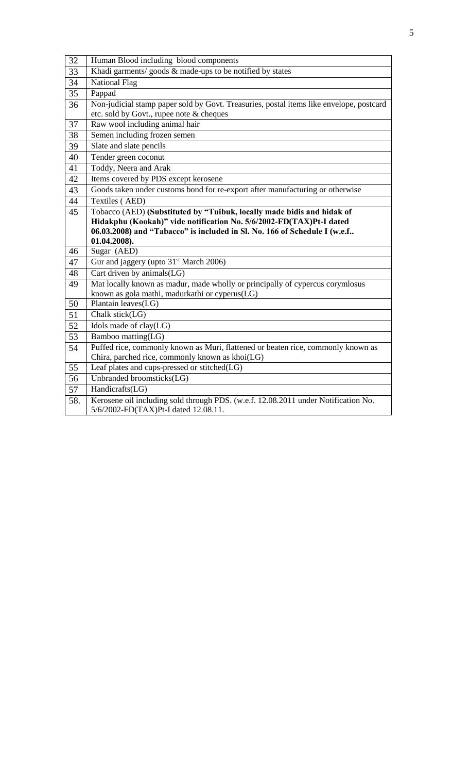| 32  | Human Blood including blood components                                                                                     |  |  |  |
|-----|----------------------------------------------------------------------------------------------------------------------------|--|--|--|
| 33  | Khadi garments/goods $&$ made-ups to be notified by states                                                                 |  |  |  |
| 34  | <b>National Flag</b>                                                                                                       |  |  |  |
| 35  | Pappad                                                                                                                     |  |  |  |
| 36  | Non-judicial stamp paper sold by Govt. Treasuries, postal items like envelope, postcard                                    |  |  |  |
|     | etc. sold by Govt., rupee note & cheques                                                                                   |  |  |  |
| 37  | Raw wool including animal hair                                                                                             |  |  |  |
| 38  | Semen including frozen semen                                                                                               |  |  |  |
| 39  | Slate and slate pencils                                                                                                    |  |  |  |
| 40  | Tender green coconut                                                                                                       |  |  |  |
| 41  | Toddy, Neera and Arak                                                                                                      |  |  |  |
| 42  | Items covered by PDS except kerosene                                                                                       |  |  |  |
| 43  | Goods taken under customs bond for re-export after manufacturing or otherwise                                              |  |  |  |
| 44  | Textiles (AED)                                                                                                             |  |  |  |
| 45  | Tobacco (AED) (Substituted by "Tuibuk, locally made bidis and hidak of                                                     |  |  |  |
|     | Hidakphu (Kookah)" vide notification No. 5/6/2002-FD(TAX)Pt-I dated                                                        |  |  |  |
|     | 06.03.2008) and "Tabacco" is included in Sl. No. 166 of Schedule I (w.e.f                                                  |  |  |  |
|     |                                                                                                                            |  |  |  |
|     | 01.04.2008).                                                                                                               |  |  |  |
| 46  | Sugar (AED)                                                                                                                |  |  |  |
| 47  | Gur and jaggery (upto 31 <sup>st</sup> March 2006)                                                                         |  |  |  |
| 48  | Cart driven by animals(LG)                                                                                                 |  |  |  |
| 49  | Mat locally known as madur, made wholly or principally of cypercus corymlosus                                              |  |  |  |
|     | known as gola mathi, madurkathi or cyperus(LG)                                                                             |  |  |  |
| 50  | Plantain leaves(LG)                                                                                                        |  |  |  |
| 51  | Chalk stick(LG)                                                                                                            |  |  |  |
| 52  | Idols made of clay(LG)                                                                                                     |  |  |  |
| 53  | $\overline{\text{Bamboo matting}}(LG)$                                                                                     |  |  |  |
| 54  | Puffed rice, commonly known as Muri, flattened or beaten rice, commonly known as                                           |  |  |  |
|     | Chira, parched rice, commonly known as khoi(LG)                                                                            |  |  |  |
| 55  | Leaf plates and cups-pressed or stitched(LG)                                                                               |  |  |  |
| 56  | Unbranded broomsticks(LG)                                                                                                  |  |  |  |
| 57  | Handicrafts(LG)                                                                                                            |  |  |  |
| 58. | Kerosene oil including sold through PDS. (w.e.f. 12.08.2011 under Notification No.<br>5/6/2002-FD(TAX)Pt-I dated 12.08.11. |  |  |  |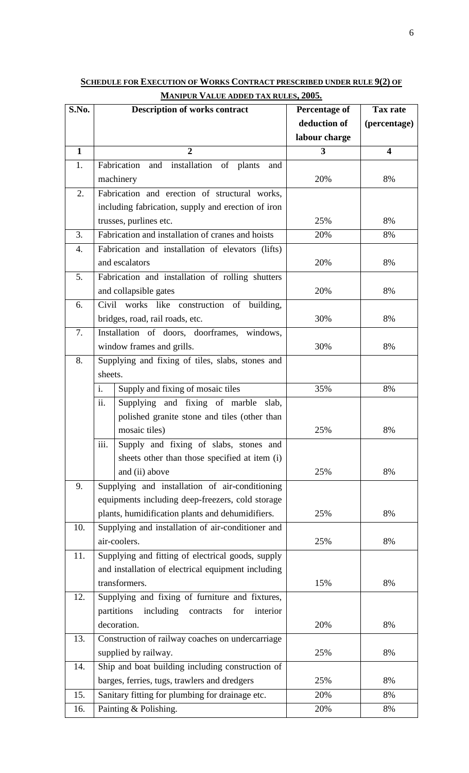| S.No.        | <b>Description of works contract</b>                                                                       | <b>Percentage of</b> | <b>Tax rate</b>         |
|--------------|------------------------------------------------------------------------------------------------------------|----------------------|-------------------------|
|              |                                                                                                            | deduction of         | (percentage)            |
|              |                                                                                                            | labour charge        |                         |
| $\mathbf{1}$ | $\overline{2}$                                                                                             | 3                    | $\overline{\mathbf{4}}$ |
| 1.           | Fabrication<br>installation<br>of<br>and<br>plants<br>and                                                  |                      |                         |
|              | machinery                                                                                                  | 20%                  | 8%                      |
| 2.           | Fabrication and erection of structural works,                                                              |                      |                         |
|              | including fabrication, supply and erection of iron                                                         |                      |                         |
|              | trusses, purlines etc.                                                                                     | 25%                  | 8%                      |
| 3.           | Fabrication and installation of cranes and hoists                                                          | 20%                  | 8%                      |
| 4.           | Fabrication and installation of elevators (lifts)                                                          |                      |                         |
|              | and escalators                                                                                             | 20%                  | 8%                      |
| 5.           | Fabrication and installation of rolling shutters                                                           |                      |                         |
|              | and collapsible gates                                                                                      | 20%                  | 8%                      |
| 6.           | Civil works like construction of building,                                                                 |                      |                         |
|              | bridges, road, rail roads, etc.                                                                            | 30%                  | 8%                      |
| 7.           | Installation of doors, doorframes, windows,                                                                |                      |                         |
|              | window frames and grills.                                                                                  | 30%                  | 8%                      |
| 8.           | Supplying and fixing of tiles, slabs, stones and                                                           |                      |                         |
|              | sheets.                                                                                                    |                      |                         |
|              | i.<br>Supply and fixing of mosaic tiles                                                                    | 35%                  | 8%                      |
|              | ii.<br>Supplying and fixing of marble slab,                                                                |                      |                         |
|              | polished granite stone and tiles (other than                                                               |                      |                         |
|              | mosaic tiles)                                                                                              | 25%                  | 8%                      |
|              | iii.<br>Supply and fixing of slabs, stones and                                                             |                      |                         |
|              | sheets other than those specified at item (i)                                                              |                      |                         |
|              | and (ii) above                                                                                             | 25%                  | 8%                      |
| 9.           | Supplying and installation of air-conditioning                                                             |                      |                         |
|              | equipments including deep-freezers, cold storage                                                           |                      |                         |
|              | plants, humidification plants and dehumidifiers.                                                           | 25%                  | 8%                      |
| 10.          | Supplying and installation of air-conditioner and                                                          |                      |                         |
|              | air-coolers.                                                                                               | 25%                  | 8%                      |
| 11.          | Supplying and fitting of electrical goods, supply                                                          |                      |                         |
|              | and installation of electrical equipment including                                                         |                      |                         |
|              | transformers.                                                                                              | 15%                  | 8%                      |
| 12.          | Supplying and fixing of furniture and fixtures,<br>partitions<br>including<br>contracts<br>for<br>interior |                      |                         |
|              | decoration.                                                                                                | 20%                  | 8%                      |
| 13.          | Construction of railway coaches on undercarriage                                                           |                      |                         |
|              | supplied by railway.                                                                                       | 25%                  | 8%                      |
| 14.          | Ship and boat building including construction of                                                           |                      |                         |
|              | barges, ferries, tugs, trawlers and dredgers                                                               | 25%                  | 8%                      |
| 15.          | Sanitary fitting for plumbing for drainage etc.                                                            | 20%                  | 8%                      |
| 16.          | Painting & Polishing.                                                                                      | 20%                  | 8%                      |
|              |                                                                                                            |                      |                         |

**SCHEDULE FOR EXECUTION OF WORKS CONTRACT PRESCRIBED UNDER RULE 9(2) OF MANIPUR VALUE ADDED TAX RULES, 2005.**